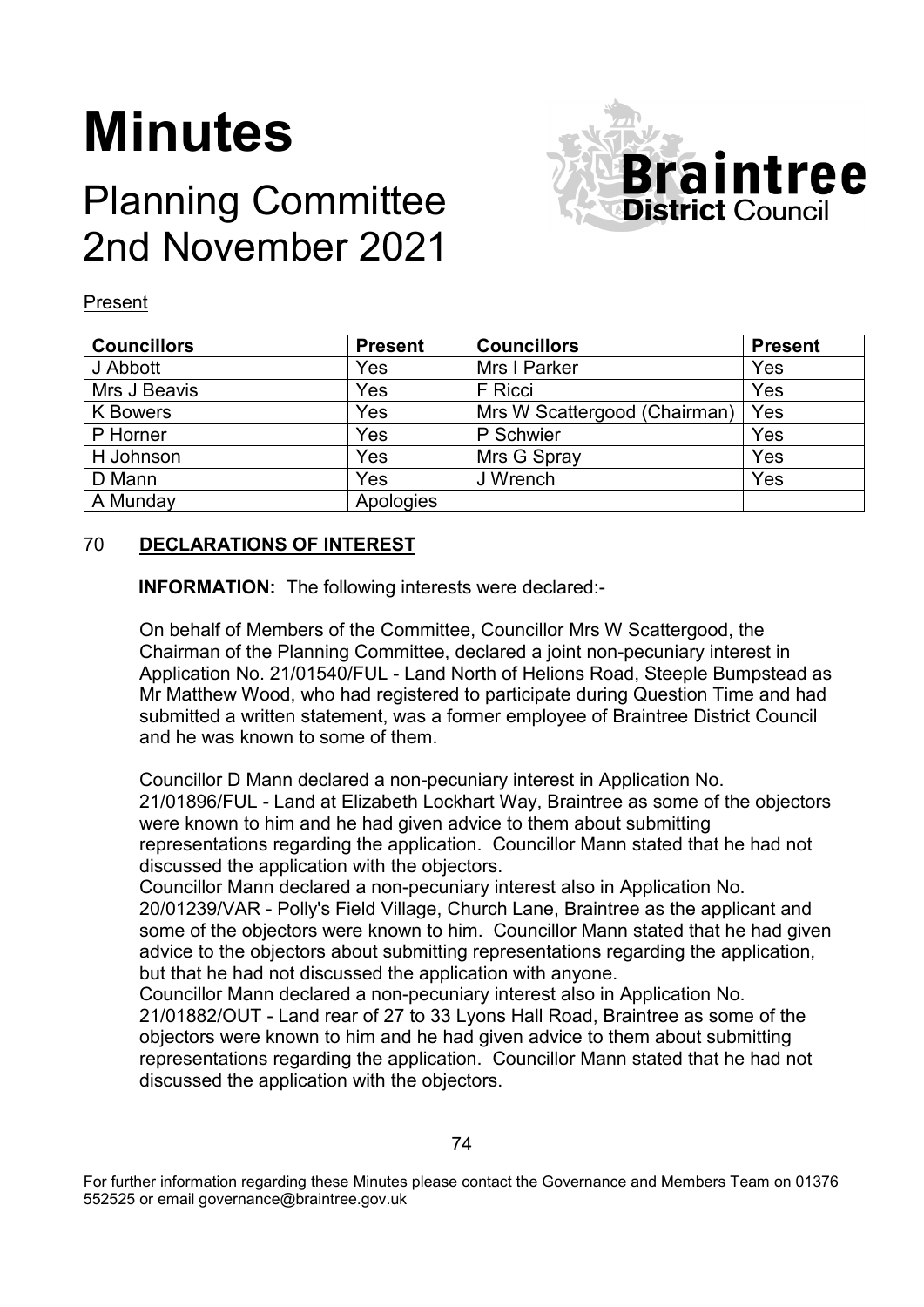# **Minutes**

# Planning Committee 2nd November 2021



## Present

| <b>Councillors</b> | <b>Present</b> | <b>Councillors</b>           | <b>Present</b> |
|--------------------|----------------|------------------------------|----------------|
| J Abbott           | Yes            | Mrs I Parker                 | Yes            |
| Mrs J Beavis       | Yes            | F Ricci                      | Yes            |
| K Bowers           | Yes            | Mrs W Scattergood (Chairman) | Yes            |
| P Horner           | Yes            | P Schwier                    | Yes            |
| H Johnson          | Yes            | Mrs G Spray                  | Yes            |
| D Mann             | Yes            | J Wrench                     | Yes            |
| A Munday           | Apologies      |                              |                |

# 70 **DECLARATIONS OF INTEREST**

**INFORMATION:** The following interests were declared:-

On behalf of Members of the Committee, Councillor Mrs W Scattergood, the Chairman of the Planning Committee, declared a joint non-pecuniary interest in Application No. 21/01540/FUL - Land North of Helions Road, Steeple Bumpstead as Mr Matthew Wood, who had registered to participate during Question Time and had submitted a written statement, was a former employee of Braintree District Council and he was known to some of them.

Councillor D Mann declared a non-pecuniary interest in Application No. 21/01896/FUL - Land at Elizabeth Lockhart Way, Braintree as some of the objectors were known to him and he had given advice to them about submitting representations regarding the application. Councillor Mann stated that he had not discussed the application with the objectors.

Councillor Mann declared a non-pecuniary interest also in Application No. 20/01239/VAR - Polly's Field Village, Church Lane, Braintree as the applicant and some of the objectors were known to him. Councillor Mann stated that he had given advice to the objectors about submitting representations regarding the application, but that he had not discussed the application with anyone.

Councillor Mann declared a non-pecuniary interest also in Application No. 21/01882/OUT - Land rear of 27 to 33 Lyons Hall Road, Braintree as some of the objectors were known to him and he had given advice to them about submitting representations regarding the application. Councillor Mann stated that he had not discussed the application with the objectors.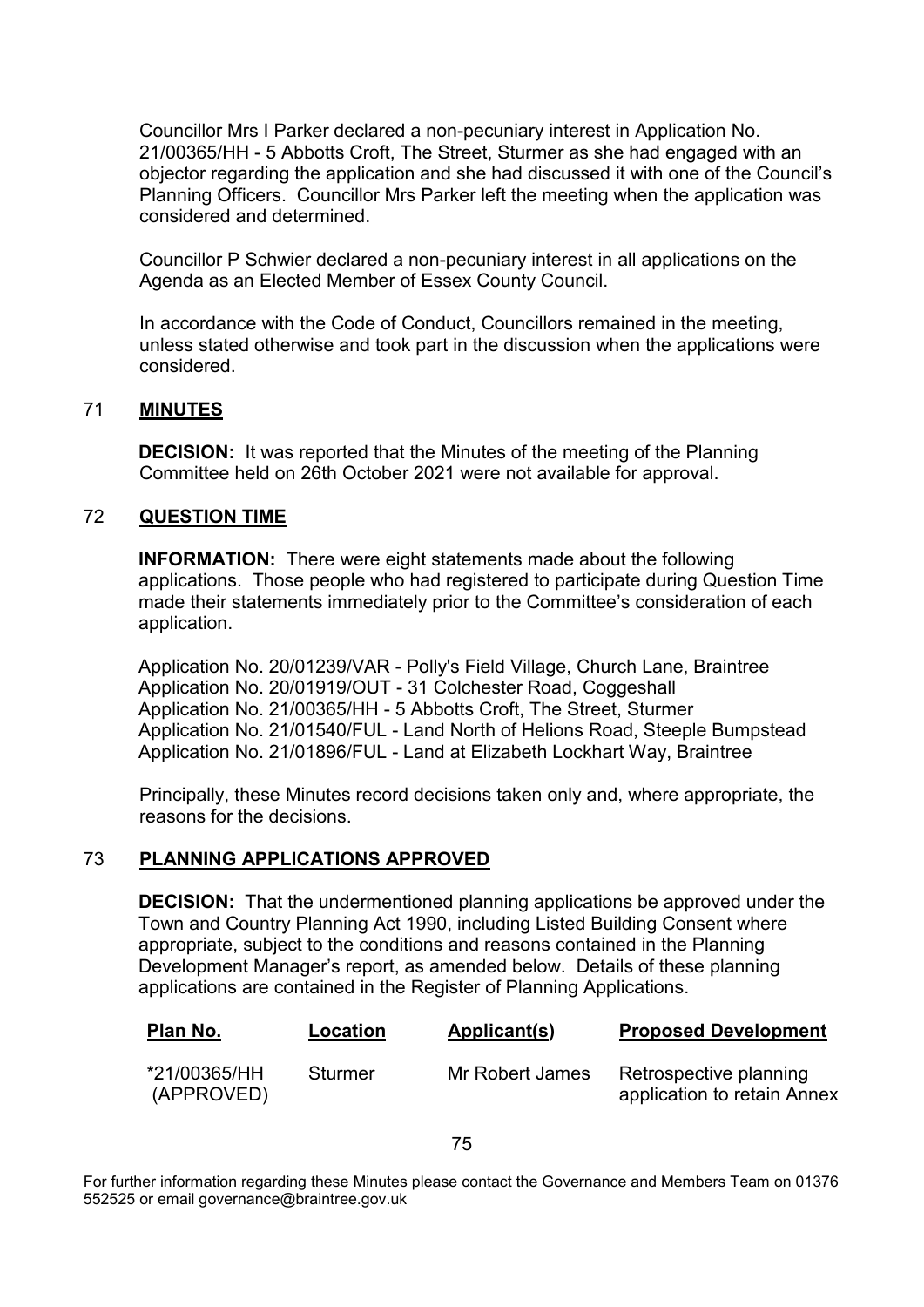Councillor Mrs I Parker declared a non-pecuniary interest in Application No. 21/00365/HH - 5 Abbotts Croft, The Street, Sturmer as she had engaged with an objector regarding the application and she had discussed it with one of the Council's Planning Officers. Councillor Mrs Parker left the meeting when the application was considered and determined.

Councillor P Schwier declared a non-pecuniary interest in all applications on the Agenda as an Elected Member of Essex County Council.

In accordance with the Code of Conduct, Councillors remained in the meeting, unless stated otherwise and took part in the discussion when the applications were considered.

# 71 **MINUTES**

**DECISION:** It was reported that the Minutes of the meeting of the Planning Committee held on 26th October 2021 were not available for approval.

# 72 **QUESTION TIME**

**INFORMATION:** There were eight statements made about the following applications. Those people who had registered to participate during Question Time made their statements immediately prior to the Committee's consideration of each application.

Application No. 20/01239/VAR - Polly's Field Village, Church Lane, Braintree Application No. 20/01919/OUT - 31 Colchester Road, Coggeshall Application No. 21/00365/HH - 5 Abbotts Croft, The Street, Sturmer Application No. 21/01540/FUL - Land North of Helions Road, Steeple Bumpstead Application No. 21/01896/FUL - Land at Elizabeth Lockhart Way, Braintree

Principally, these Minutes record decisions taken only and, where appropriate, the reasons for the decisions.

# 73 **PLANNING APPLICATIONS APPROVED**

**DECISION:** That the undermentioned planning applications be approved under the Town and Country Planning Act 1990, including Listed Building Consent where appropriate, subject to the conditions and reasons contained in the Planning Development Manager's report, as amended below. Details of these planning applications are contained in the Register of Planning Applications.

| Plan No.                   | Location | Applicant(s)    | <b>Proposed Development</b>                           |
|----------------------------|----------|-----------------|-------------------------------------------------------|
| *21/00365/HH<br>(APPROVED) | Sturmer  | Mr Robert James | Retrospective planning<br>application to retain Annex |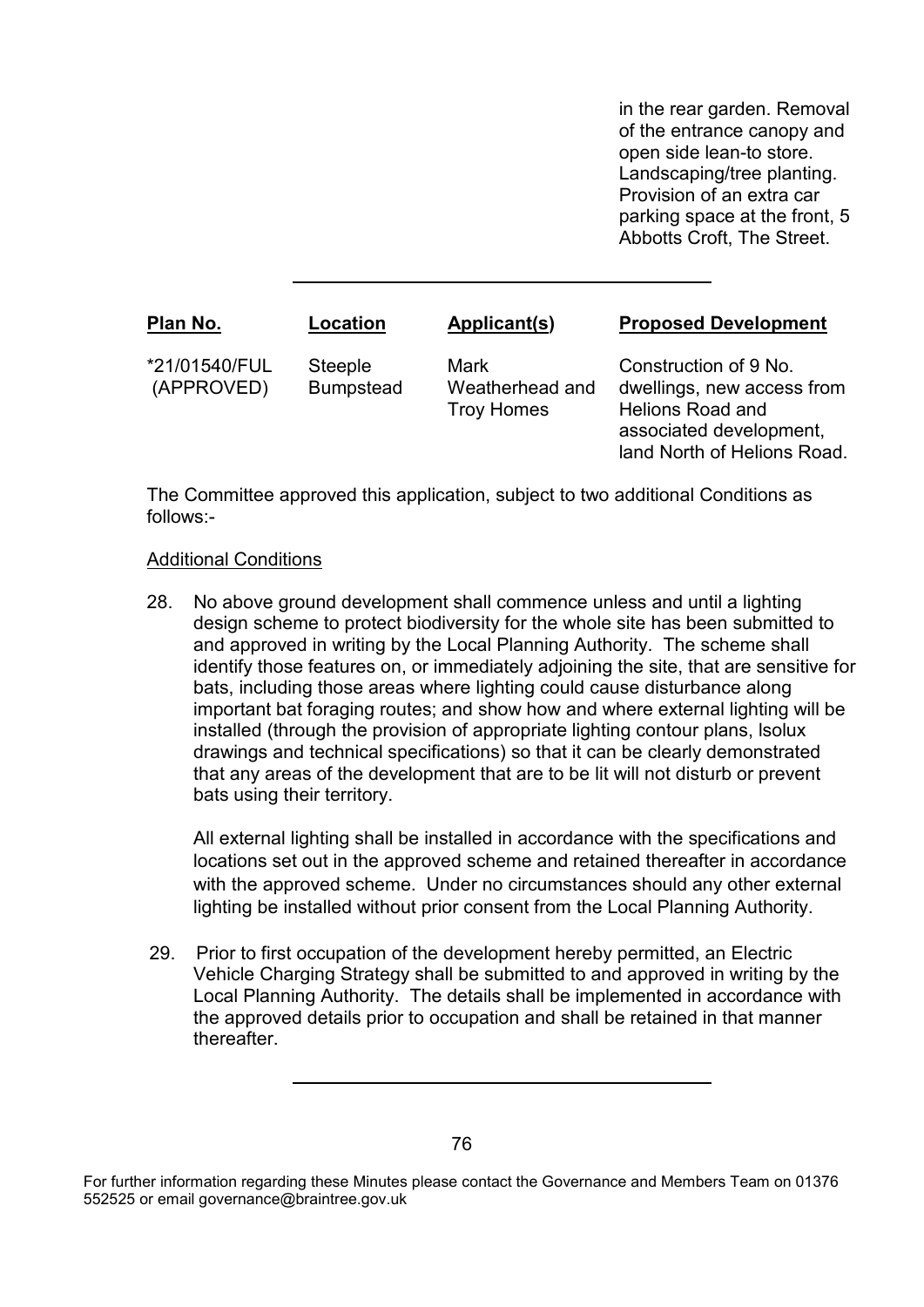in the rear garden. Removal of the entrance canopy and open side lean-to store. Landscaping/tree planting. Provision of an extra car parking space at the front, 5 Abbotts Croft, The Street.

| Plan No.                    | Location                           | Applicant(s)                                 | <b>Proposed Development</b>                                                                                                              |
|-----------------------------|------------------------------------|----------------------------------------------|------------------------------------------------------------------------------------------------------------------------------------------|
| *21/01540/FUL<br>(APPROVED) | <b>Steeple</b><br><b>Bumpstead</b> | Mark<br>Weatherhead and<br><b>Troy Homes</b> | Construction of 9 No.<br>dwellings, new access from<br><b>Helions Road and</b><br>associated development,<br>land North of Helions Road. |

The Committee approved this application, subject to two additional Conditions as follows:-

#### Additional Conditions

28. No above ground development shall commence unless and until a lighting design scheme to protect biodiversity for the whole site has been submitted to and approved in writing by the Local Planning Authority. The scheme shall identify those features on, or immediately adjoining the site, that are sensitive for bats, including those areas where lighting could cause disturbance along important bat foraging routes; and show how and where external lighting will be installed (through the provision of appropriate lighting contour plans, lsolux drawings and technical specifications) so that it can be clearly demonstrated that any areas of the development that are to be lit will not disturb or prevent bats using their territory.

All external lighting shall be installed in accordance with the specifications and locations set out in the approved scheme and retained thereafter in accordance with the approved scheme. Under no circumstances should any other external lighting be installed without prior consent from the Local Planning Authority.

29. Prior to first occupation of the development hereby permitted, an Electric Vehicle Charging Strategy shall be submitted to and approved in writing by the Local Planning Authority. The details shall be implemented in accordance with the approved details prior to occupation and shall be retained in that manner thereafter.

<sup>76</sup>

For further information regarding these Minutes please contact the Governance and Members Team on 01376 552525 or email governance@braintree.gov.uk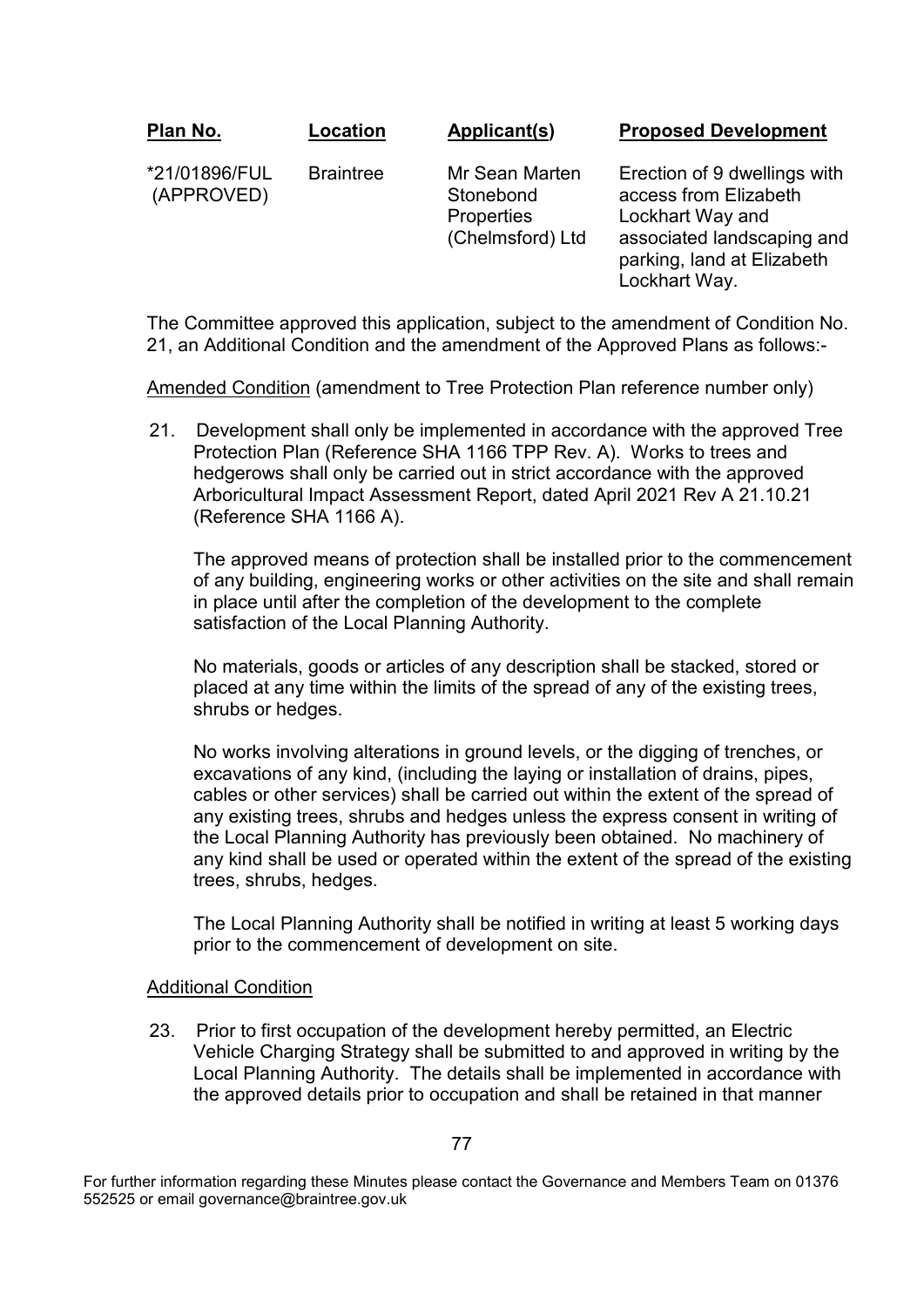| Plan No.                    | Location         | Applicant(s)                                                         | <b>Proposed Development</b>                                                                                                                            |
|-----------------------------|------------------|----------------------------------------------------------------------|--------------------------------------------------------------------------------------------------------------------------------------------------------|
| *21/01896/FUL<br>(APPROVED) | <b>Braintree</b> | Mr Sean Marten<br>Stonebond<br><b>Properties</b><br>(Chelmsford) Ltd | Erection of 9 dwellings with<br>access from Elizabeth<br>Lockhart Way and<br>associated landscaping and<br>parking, land at Elizabeth<br>Lockhart Way. |

The Committee approved this application, subject to the amendment of Condition No. 21, an Additional Condition and the amendment of the Approved Plans as follows:-

Amended Condition (amendment to Tree Protection Plan reference number only)

21. Development shall only be implemented in accordance with the approved Tree Protection Plan (Reference SHA 1166 TPP Rev. A). Works to trees and hedgerows shall only be carried out in strict accordance with the approved Arboricultural Impact Assessment Report, dated April 2021 Rev A 21.10.21 (Reference SHA 1166 A).

The approved means of protection shall be installed prior to the commencement of any building, engineering works or other activities on the site and shall remain in place until after the completion of the development to the complete satisfaction of the Local Planning Authority.

No materials, goods or articles of any description shall be stacked, stored or placed at any time within the limits of the spread of any of the existing trees, shrubs or hedges.

No works involving alterations in ground levels, or the digging of trenches, or excavations of any kind, (including the laying or installation of drains, pipes, cables or other services) shall be carried out within the extent of the spread of any existing trees, shrubs and hedges unless the express consent in writing of the Local Planning Authority has previously been obtained. No machinery of any kind shall be used or operated within the extent of the spread of the existing trees, shrubs, hedges.

The Local Planning Authority shall be notified in writing at least 5 working days prior to the commencement of development on site.

# Additional Condition

23. Prior to first occupation of the development hereby permitted, an Electric Vehicle Charging Strategy shall be submitted to and approved in writing by the Local Planning Authority. The details shall be implemented in accordance with the approved details prior to occupation and shall be retained in that manner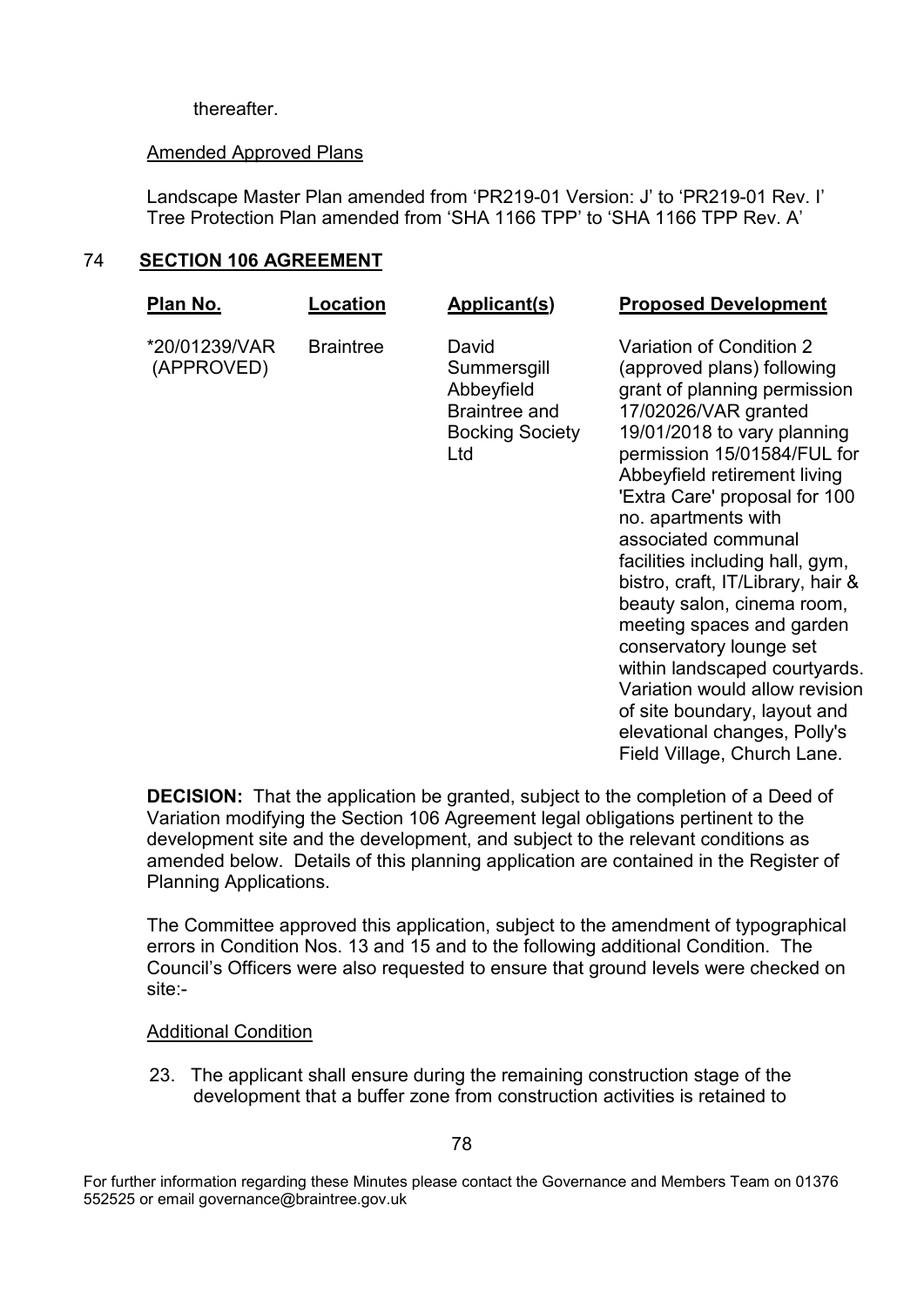thereafter.

# Amended Approved Plans

Landscape Master Plan amended from 'PR219-01 Version: J' to 'PR219-01 Rev. I' Tree Protection Plan amended from 'SHA 1166 TPP' to 'SHA 1166 TPP Rev. A'

# 74 **SECTION 106 AGREEMENT**

| P <u>lan No.</u>            | Location         | <b>Applicant(s)</b>                                                                         | <b>Proposed Development</b>                                                                                                                                                                                                                                                                                                                                                                                                                                                                                                                                  |
|-----------------------------|------------------|---------------------------------------------------------------------------------------------|--------------------------------------------------------------------------------------------------------------------------------------------------------------------------------------------------------------------------------------------------------------------------------------------------------------------------------------------------------------------------------------------------------------------------------------------------------------------------------------------------------------------------------------------------------------|
| *20/01239/VAR<br>(APPROVED) | <b>Braintree</b> | David<br>Summersgill<br>Abbeyfield<br><b>Braintree and</b><br><b>Bocking Society</b><br>Ltd | Variation of Condition 2<br>(approved plans) following<br>grant of planning permission<br>17/02026/VAR granted<br>19/01/2018 to vary planning<br>permission 15/01584/FUL for<br>Abbeyfield retirement living<br>'Extra Care' proposal for 100<br>no. apartments with<br>associated communal<br>facilities including hall, gym,<br>bistro, craft, IT/Library, hair &<br>beauty salon, cinema room,<br>meeting spaces and garden<br>conservatory lounge set<br>within landscaped courtyards.<br>Variation would allow revision<br>of site boundary, layout and |

**DECISION:** That the application be granted, subject to the completion of a Deed of Variation modifying the Section 106 Agreement legal obligations pertinent to the development site and the development, and subject to the relevant conditions as amended below. Details of this planning application are contained in the Register of Planning Applications.

elevational changes, Polly's Field Village, Church Lane.

The Committee approved this application, subject to the amendment of typographical errors in Condition Nos. 13 and 15 and to the following additional Condition. The Council's Officers were also requested to ensure that ground levels were checked on site:-

# Additional Condition

23. The applicant shall ensure during the remaining construction stage of the development that a buffer zone from construction activities is retained to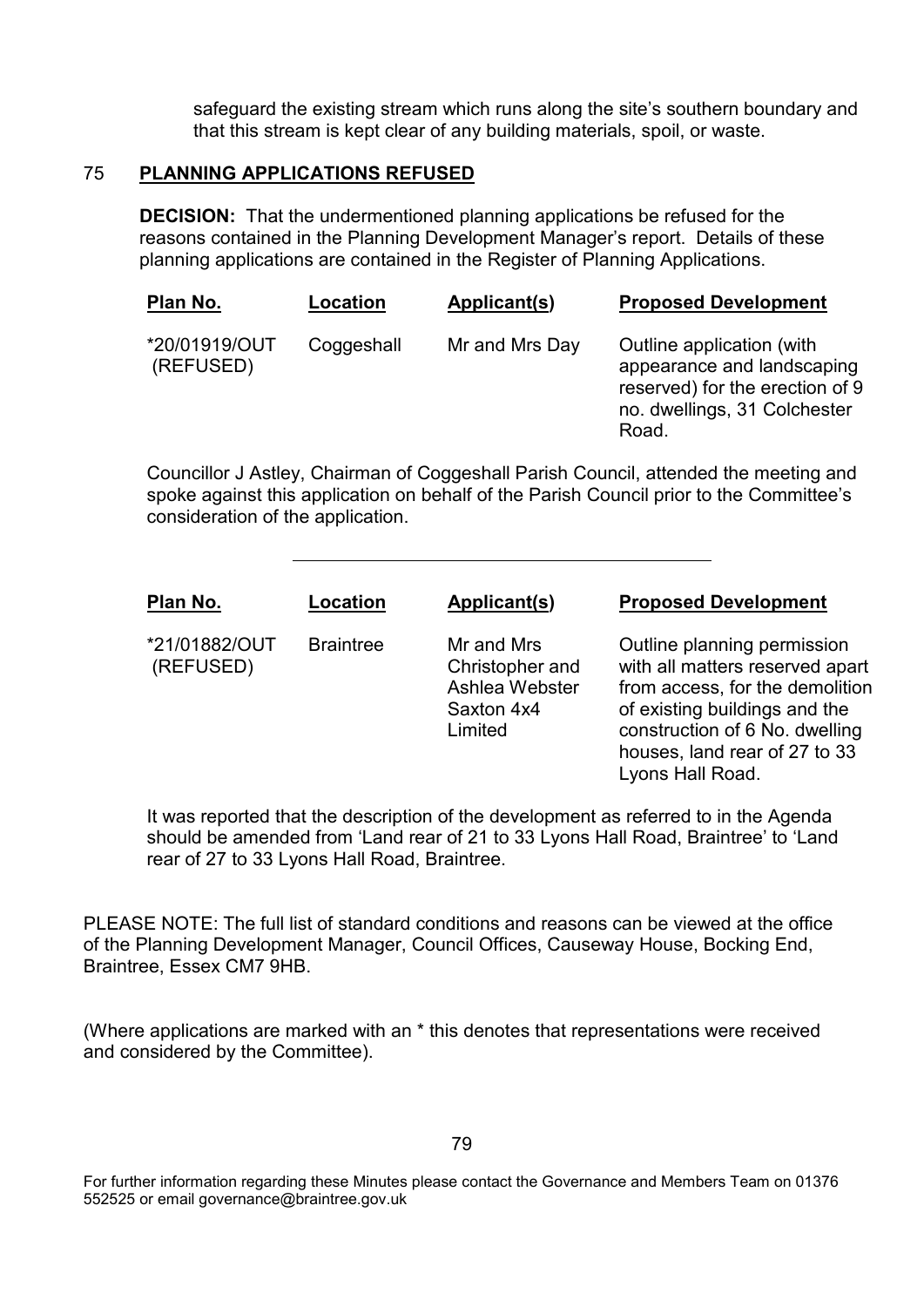safeguard the existing stream which runs along the site's southern boundary and that this stream is kept clear of any building materials, spoil, or waste.

#### 75 **PLANNING APPLICATIONS REFUSED**

**DECISION:** That the undermentioned planning applications be refused for the reasons contained in the Planning Development Manager's report. Details of these planning applications are contained in the Register of Planning Applications.

| Plan No.                   | Location   | Applicant(s)   | <b>Proposed Development</b>                                                                                                         |
|----------------------------|------------|----------------|-------------------------------------------------------------------------------------------------------------------------------------|
| *20/01919/OUT<br>(REFUSED) | Coggeshall | Mr and Mrs Day | Outline application (with<br>appearance and landscaping<br>reserved) for the erection of 9<br>no. dwellings, 31 Colchester<br>Road. |

Councillor J Astley, Chairman of Coggeshall Parish Council, attended the meeting and spoke against this application on behalf of the Parish Council prior to the Committee's consideration of the application.

| Plan No.                   | Location         | Applicant(s)                                                             | <b>Proposed Development</b>                                                                                                                                                                                               |
|----------------------------|------------------|--------------------------------------------------------------------------|---------------------------------------------------------------------------------------------------------------------------------------------------------------------------------------------------------------------------|
| *21/01882/OUT<br>(REFUSED) | <b>Braintree</b> | Mr and Mrs<br>Christopher and<br>Ashlea Webster<br>Saxton 4x4<br>Limited | Outline planning permission<br>with all matters reserved apart<br>from access, for the demolition<br>of existing buildings and the<br>construction of 6 No. dwelling<br>houses, land rear of 27 to 33<br>Lyons Hall Road. |

It was reported that the description of the development as referred to in the Agenda should be amended from 'Land rear of 21 to 33 Lyons Hall Road, Braintree' to 'Land rear of 27 to 33 Lyons Hall Road, Braintree.

PLEASE NOTE: The full list of standard conditions and reasons can be viewed at the office of the Planning Development Manager, Council Offices, Causeway House, Bocking End, Braintree, Essex CM7 9HB.

(Where applications are marked with an \* this denotes that representations were received and considered by the Committee).